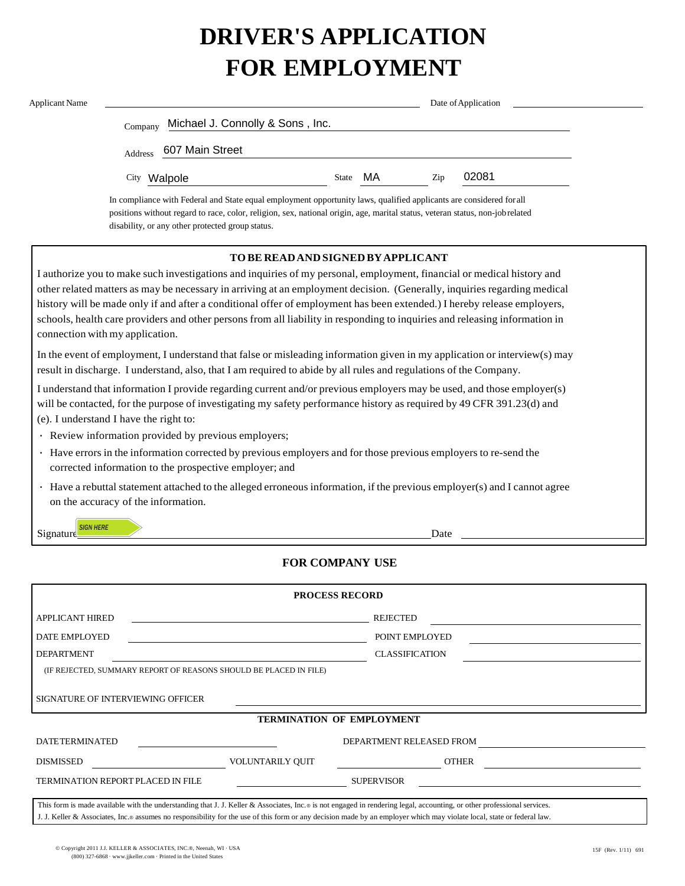# **DRIVER'S APPLICATION FOR EMPLOYMENT**

| <b>Applicant Name</b>                                                                                                                                                                                                                                                                                                                                                                                                                                                                                                                            |                        | Date of Application |  |
|--------------------------------------------------------------------------------------------------------------------------------------------------------------------------------------------------------------------------------------------------------------------------------------------------------------------------------------------------------------------------------------------------------------------------------------------------------------------------------------------------------------------------------------------------|------------------------|---------------------|--|
| Michael J. Connolly & Sons, Inc.<br>Company                                                                                                                                                                                                                                                                                                                                                                                                                                                                                                      |                        |                     |  |
| 607 Main Street<br><b>Address</b>                                                                                                                                                                                                                                                                                                                                                                                                                                                                                                                |                        |                     |  |
| City<br>Walpole                                                                                                                                                                                                                                                                                                                                                                                                                                                                                                                                  | MA<br>State            | 02081<br>Zip        |  |
| In compliance with Federal and State equal employment opportunity laws, qualified applicants are considered for all<br>positions without regard to race, color, religion, sex, national origin, age, marital status, veteran status, non-job related<br>disability, or any other protected group status.                                                                                                                                                                                                                                         |                        |                     |  |
| TO BE READ AND SIGNED BY APPLICANT                                                                                                                                                                                                                                                                                                                                                                                                                                                                                                               |                        |                     |  |
| I authorize you to make such investigations and inquiries of my personal, employment, financial or medical history and<br>other related matters as may be necessary in arriving at an employment decision. (Generally, inquiries regarding medical<br>history will be made only if and after a conditional offer of employment has been extended.) I hereby release employers,<br>schools, health care providers and other persons from all liability in responding to inquiries and releasing information in<br>connection with my application. |                        |                     |  |
| In the event of employment, I understand that false or misleading information given in my application or interview(s) may<br>result in discharge. I understand, also, that I am required to abide by all rules and regulations of the Company.                                                                                                                                                                                                                                                                                                   |                        |                     |  |
| I understand that information I provide regarding current and/or previous employers may be used, and those employer(s)<br>will be contacted, for the purpose of investigating my safety performance history as required by 49 CFR 391.23(d) and<br>(e). I understand I have the right to:                                                                                                                                                                                                                                                        |                        |                     |  |
| · Review information provided by previous employers;                                                                                                                                                                                                                                                                                                                                                                                                                                                                                             |                        |                     |  |
| Have errors in the information corrected by previous employers and for those previous employers to re-send the<br>corrected information to the prospective employer; and                                                                                                                                                                                                                                                                                                                                                                         |                        |                     |  |
| - Have a rebuttal statement attached to the alleged erroneous information, if the previous employer(s) and I cannot agree<br>on the accuracy of the information.                                                                                                                                                                                                                                                                                                                                                                                 |                        |                     |  |
| <b>SIGN HERE</b><br>Signature                                                                                                                                                                                                                                                                                                                                                                                                                                                                                                                    |                        | Date                |  |
|                                                                                                                                                                                                                                                                                                                                                                                                                                                                                                                                                  | <b>FOR COMPANY USE</b> |                     |  |

| <b>PROCESS RECORD</b>                                                                                                                                                  |                                  |                                                                                                                                                                         |  |  |  |
|------------------------------------------------------------------------------------------------------------------------------------------------------------------------|----------------------------------|-------------------------------------------------------------------------------------------------------------------------------------------------------------------------|--|--|--|
| <b>APPLICANT HIRED</b>                                                                                                                                                 |                                  | <b>REJECTED</b>                                                                                                                                                         |  |  |  |
| DATE EMPLOYED                                                                                                                                                          |                                  | POINT EMPLOYED                                                                                                                                                          |  |  |  |
| <b>DEPARTMENT</b>                                                                                                                                                      |                                  | <b>CLASSIFICATION</b>                                                                                                                                                   |  |  |  |
| (IF REJECTED, SUMMARY REPORT OF REASONS SHOULD BE PLACED IN FILE)                                                                                                      |                                  |                                                                                                                                                                         |  |  |  |
| SIGNATURE OF INTERVIEWING OFFICER                                                                                                                                      |                                  |                                                                                                                                                                         |  |  |  |
|                                                                                                                                                                        | <b>TERMINATION OF EMPLOYMENT</b> |                                                                                                                                                                         |  |  |  |
| <b>DATETERMINATED</b>                                                                                                                                                  |                                  | DEPARTMENT RELEASED FROM                                                                                                                                                |  |  |  |
| <b>DISMISSED</b>                                                                                                                                                       | <b>VOLUNTARILY QUIT</b>          | <b>OTHER</b>                                                                                                                                                            |  |  |  |
| TERMINATION REPORT PLACED IN FILE                                                                                                                                      |                                  | <b>SUPERVISOR</b>                                                                                                                                                       |  |  |  |
| J. J. Keller & Associates, Inc.® assumes no responsibility for the use of this form or any decision made by an employer which may violate local, state or federal law. |                                  | This form is made available with the understanding that J. J. Keller & Associates, Inc.® is not engaged in rendering legal, accounting, or other professional services. |  |  |  |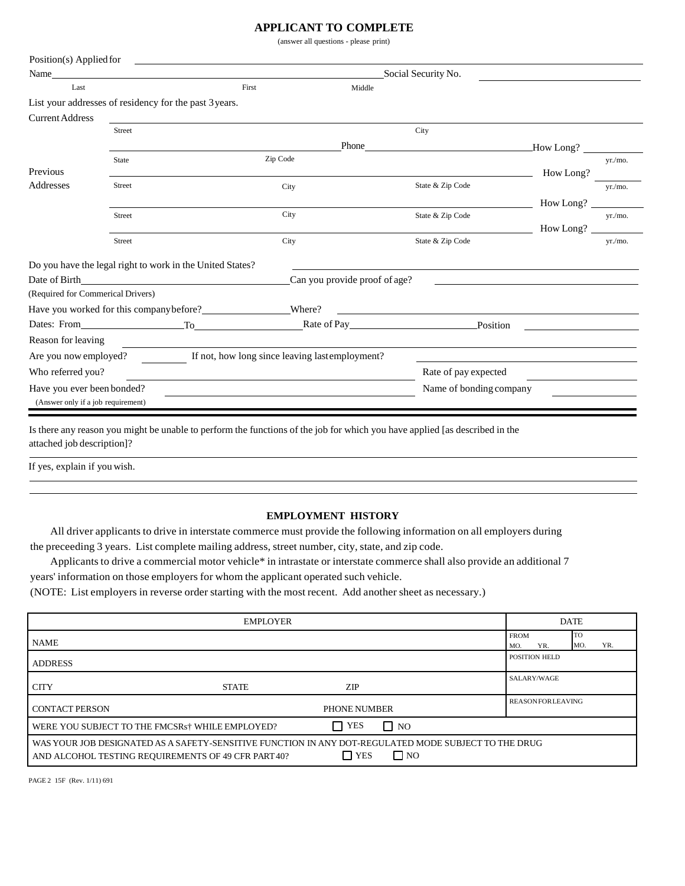# **APPLICANT TO COMPLETE**

(answer all questions - please print)

| Position(s) Applied for            |                                                        |                                                                                                                                                                                                                                | <u> 1980 - Jan Samuel Barbara, margaret e populazion del control del control del control del control de la control</u> |                         |           |         |  |  |
|------------------------------------|--------------------------------------------------------|--------------------------------------------------------------------------------------------------------------------------------------------------------------------------------------------------------------------------------|------------------------------------------------------------------------------------------------------------------------|-------------------------|-----------|---------|--|--|
| Name                               |                                                        |                                                                                                                                                                                                                                |                                                                                                                        | Social Security No.     |           |         |  |  |
| Last                               |                                                        | First                                                                                                                                                                                                                          | Middle                                                                                                                 |                         |           |         |  |  |
|                                    | List your addresses of residency for the past 3 years. |                                                                                                                                                                                                                                |                                                                                                                        |                         |           |         |  |  |
| <b>Current Address</b>             |                                                        |                                                                                                                                                                                                                                |                                                                                                                        |                         |           |         |  |  |
|                                    | Street                                                 |                                                                                                                                                                                                                                |                                                                                                                        | City                    |           |         |  |  |
|                                    |                                                        |                                                                                                                                                                                                                                |                                                                                                                        |                         |           |         |  |  |
|                                    | State                                                  |                                                                                                                                                                                                                                | Zip Code                                                                                                               |                         |           | yr./mo. |  |  |
| Previous                           |                                                        |                                                                                                                                                                                                                                |                                                                                                                        |                         | How Long? |         |  |  |
| Addresses                          | Street                                                 |                                                                                                                                                                                                                                | City                                                                                                                   | State & Zip Code        |           | yr./mo. |  |  |
|                                    |                                                        |                                                                                                                                                                                                                                |                                                                                                                        |                         | How Long? |         |  |  |
|                                    | Street                                                 |                                                                                                                                                                                                                                | City                                                                                                                   | State & Zip Code        |           | yr./mo. |  |  |
|                                    | Street                                                 |                                                                                                                                                                                                                                | City                                                                                                                   | State & Zip Code        | How Long? | yr./mo. |  |  |
|                                    |                                                        |                                                                                                                                                                                                                                |                                                                                                                        |                         |           |         |  |  |
|                                    |                                                        | Do you have the legal right to work in the United States?                                                                                                                                                                      |                                                                                                                        |                         |           |         |  |  |
|                                    |                                                        |                                                                                                                                                                                                                                | Can you provide proof of age?                                                                                          |                         |           |         |  |  |
| (Required for Commerical Drivers)  |                                                        |                                                                                                                                                                                                                                |                                                                                                                        |                         |           |         |  |  |
|                                    |                                                        |                                                                                                                                                                                                                                |                                                                                                                        |                         |           |         |  |  |
|                                    | Dates: From                                            | To the contract of the contract of the contract of the contract of the contract of the contract of the contract of the contract of the contract of the contract of the contract of the contract of the contract of the contrac |                                                                                                                        | Position                |           |         |  |  |
| Reason for leaving                 |                                                        |                                                                                                                                                                                                                                |                                                                                                                        |                         |           |         |  |  |
| Are you now employed?              |                                                        |                                                                                                                                                                                                                                | If not, how long since leaving last employment?                                                                        |                         |           |         |  |  |
| Who referred you?                  |                                                        |                                                                                                                                                                                                                                |                                                                                                                        | Rate of pay expected    |           |         |  |  |
| Have you ever been bonded?         |                                                        |                                                                                                                                                                                                                                |                                                                                                                        | Name of bonding company |           |         |  |  |
| (Answer only if a job requirement) |                                                        |                                                                                                                                                                                                                                |                                                                                                                        |                         |           |         |  |  |

Is there any reason you might be unable to perform the functions of the job for which you have applied [as described in the attached job description]?

If yes, explain if you wish.

# **EMPLOYMENT HISTORY**

All driver applicants to drive in interstate commerce must provide the following information on all employers during the preceeding 3 years. List complete mailing address, street number, city, state, and zip code.

Applicants to drive a commercial motor vehicle\* in intrastate or interstate commerce shall also provide an additional 7

years' information on those employers for whom the applicant operated such vehicle.

(NOTE: List employers in reverse order starting with the most recent. Add another sheet as necessary.)

| <b>EMPLOYER</b>                                                                                                                                                                        |              |                     |           |  | <b>DATE</b>        |                         |                  |     |
|----------------------------------------------------------------------------------------------------------------------------------------------------------------------------------------|--------------|---------------------|-----------|--|--------------------|-------------------------|------------------|-----|
| <b>NAME</b>                                                                                                                                                                            |              |                     |           |  | <b>FROM</b><br>MO. | YR.                     | <b>TO</b><br>MO. | YR. |
| <b>ADDRESS</b>                                                                                                                                                                         |              |                     |           |  |                    | <b>POSITION HELD</b>    |                  |     |
| <b>CITY</b>                                                                                                                                                                            | <b>STATE</b> | <b>ZIP</b>          |           |  |                    | SALARY/WAGE             |                  |     |
| <b>CONTACT PERSON</b>                                                                                                                                                                  |              | <b>PHONE NUMBER</b> |           |  |                    | <b>REASONFORLEAVING</b> |                  |     |
| WERE YOU SUBJECT TO THE FMCSRs <sup>†</sup> WHILE EMPLOYED?                                                                                                                            |              | $\Box$ YES          | $\Box$ NO |  |                    |                         |                  |     |
| WAS YOUR JOB DESIGNATED AS A SAFETY-SENSITIVE FUNCTION IN ANY DOT-REGULATED MODE SUBJECT TO THE DRUG<br>$\Box$ NO<br>$\Box$ YES<br>AND ALCOHOL TESTING REQUIREMENTS OF 49 CFR PART 40? |              |                     |           |  |                    |                         |                  |     |

PAGE 2 15F (Rev. 1/11) 691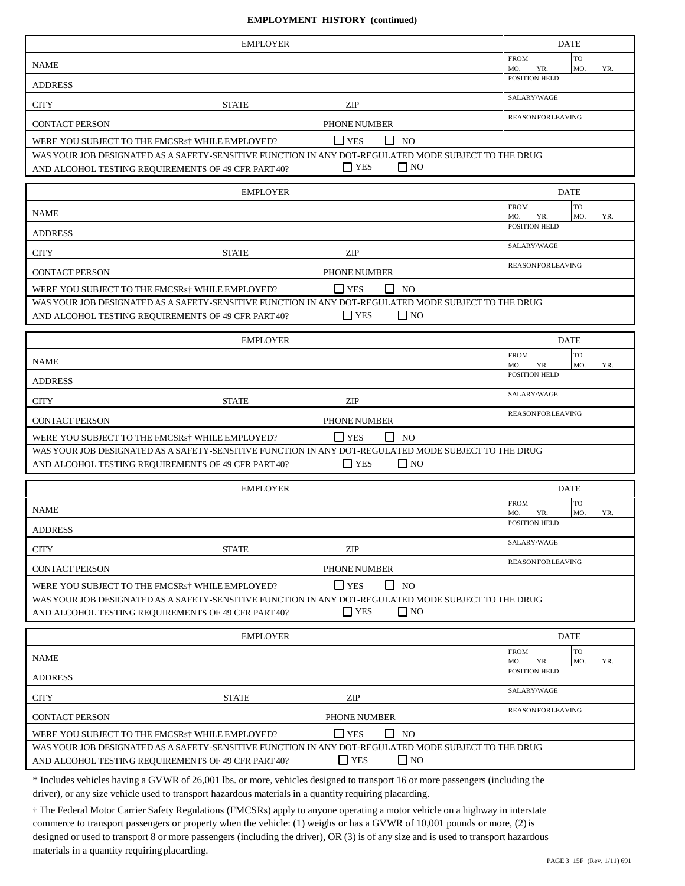#### **EMPLOYMENT HISTORY (continued)**

| <b>EMPLOYER</b>                                                                                                                                                                                | <b>DATE</b>                               |
|------------------------------------------------------------------------------------------------------------------------------------------------------------------------------------------------|-------------------------------------------|
| <b>NAME</b>                                                                                                                                                                                    | <b>TO</b><br><b>FROM</b>                  |
|                                                                                                                                                                                                | MO.<br>YR.<br>MO.<br>YR.<br>POSITION HELD |
| <b>ADDRESS</b>                                                                                                                                                                                 | SALARY/WAGE                               |
| <b>CITY</b><br><b>STATE</b><br>ZIP                                                                                                                                                             | <b>REASONFORLEAVING</b>                   |
| <b>CONTACT PERSON</b><br>PHONE NUMBER                                                                                                                                                          |                                           |
| $\Box$ YES<br>$\Box$ NO<br>WERE YOU SUBJECT TO THE FMCSRs <sup>†</sup> WHILE EMPLOYED?<br>WAS YOUR JOB DESIGNATED AS A SAFETY-SENSITIVE FUNCTION IN ANY DOT-REGULATED MODE SUBJECT TO THE DRUG |                                           |
| $\Box$ YES<br>$\Box$ NO<br>AND ALCOHOL TESTING REQUIREMENTS OF 49 CFR PART40?                                                                                                                  |                                           |
| <b>EMPLOYER</b>                                                                                                                                                                                | <b>DATE</b>                               |
|                                                                                                                                                                                                | <b>TO</b><br><b>FROM</b>                  |
| <b>NAME</b>                                                                                                                                                                                    | MO.<br>MO.<br>YR.<br>YR.<br>POSITION HELD |
| <b>ADDRESS</b>                                                                                                                                                                                 | SALARY/WAGE                               |
| <b>CITY</b><br><b>STATE</b><br>ZIP                                                                                                                                                             |                                           |
| <b>CONTACT PERSON</b><br>PHONE NUMBER                                                                                                                                                          | <b>REASONFORLEAVING</b>                   |
| $\Box$ YES<br>$\Box$ NO<br>WERE YOU SUBJECT TO THE FMCSRs <sup>†</sup> WHILE EMPLOYED?                                                                                                         |                                           |
| WAS YOUR JOB DESIGNATED AS A SAFETY-SENSITIVE FUNCTION IN ANY DOT-REGULATED MODE SUBJECT TO THE DRUG<br>$\Box$ YES<br>$\Box$ NO<br>AND ALCOHOL TESTING REQUIREMENTS OF 49 CFR PART 40?         |                                           |
| <b>EMPLOYER</b>                                                                                                                                                                                | <b>DATE</b>                               |
| <b>NAME</b>                                                                                                                                                                                    | <b>TO</b><br><b>FROM</b>                  |
|                                                                                                                                                                                                | MO.<br>YR.<br>MO.<br>YR.<br>POSITION HELD |
| <b>ADDRESS</b>                                                                                                                                                                                 | SALARY/WAGE                               |
| <b>CITY</b><br><b>STATE</b><br>ZIP                                                                                                                                                             | <b>REASONFORLEAVING</b>                   |
| <b>CONTACT PERSON</b><br>PHONE NUMBER                                                                                                                                                          |                                           |
| $\Box$ YES<br>$\Box$ NO<br>WERE YOU SUBJECT TO THE FMCSRs <sup>†</sup> WHILE EMPLOYED?<br>WAS YOUR JOB DESIGNATED AS A SAFETY-SENSITIVE FUNCTION IN ANY DOT-REGULATED MODE SUBJECT TO THE DRUG |                                           |
| $\Box$ YES<br>$\Box$ NO<br>AND ALCOHOL TESTING REQUIREMENTS OF 49 CFR PART 40?                                                                                                                 |                                           |
| <b>EMPLOYER</b>                                                                                                                                                                                | <b>DATE</b>                               |
| NAME                                                                                                                                                                                           |                                           |
|                                                                                                                                                                                                | <b>TO</b><br><b>FROM</b>                  |
|                                                                                                                                                                                                | MO.<br>YR.<br>MO.<br>YR.<br>POSITION HELD |
| <b>ADDRESS</b>                                                                                                                                                                                 | SALARY/WAGE                               |
| <b>CITY</b><br><b>STATE</b><br>ZIP                                                                                                                                                             | <b>REASONFORLEAVING</b>                   |
| <b>CONTACT PERSON</b><br>PHONE NUMBER                                                                                                                                                          |                                           |
| $\Box$ YES<br>$\Box$ NO<br>WERE YOU SUBJECT TO THE FMCSRs <sup>†</sup> WHILE EMPLOYED?<br>WAS YOUR JOB DESIGNATED AS A SAFETY-SENSITIVE FUNCTION IN ANY DOT-REGULATED MODE SUBJECT TO THE DRUG |                                           |
| $\Box$ NO<br>$\Box$ YES<br>AND ALCOHOL TESTING REQUIREMENTS OF 49 CFR PART 40?                                                                                                                 |                                           |
| <b>EMPLOYER</b>                                                                                                                                                                                | <b>DATE</b>                               |
| <b>NAME</b>                                                                                                                                                                                    | <b>FROM</b><br>TO                         |
| <b>ADDRESS</b>                                                                                                                                                                                 | MO.<br>MO.<br>YR.<br>YR.<br>POSITION HELD |
| ZIP<br><b>CITY</b><br><b>STATE</b>                                                                                                                                                             | SALARY/WAGE                               |
|                                                                                                                                                                                                | <b>REASONFORLEAVING</b>                   |
| <b>CONTACT PERSON</b><br>PHONE NUMBER                                                                                                                                                          |                                           |
| $\Box$ YES<br>$\Box$ NO<br>WERE YOU SUBJECT TO THE FMCSRs <sup>†</sup> WHILE EMPLOYED?<br>WAS YOUR JOB DESIGNATED AS A SAFETY-SENSITIVE FUNCTION IN ANY DOT-REGULATED MODE SUBJECT TO THE DRUG |                                           |
| $\Box$ YES<br>$\Box$ NO<br>AND ALCOHOL TESTING REQUIREMENTS OF 49 CFR PART 40?                                                                                                                 |                                           |

driver), or any size vehicle used to transport hazardous materials in a quantity requiring placarding.

† The Federal Motor Carrier Safety Regulations (FMCSRs) apply to anyone operating a motor vehicle on a highway in interstate commerce to transport passengers or property when the vehicle: (1) weighs or has a GVWR of 10,001 pounds or more, (2)is designed or used to transport 8 or more passengers (including the driver), OR (3) is of any size and is used to transport hazardous materials in a quantity requiring placarding.